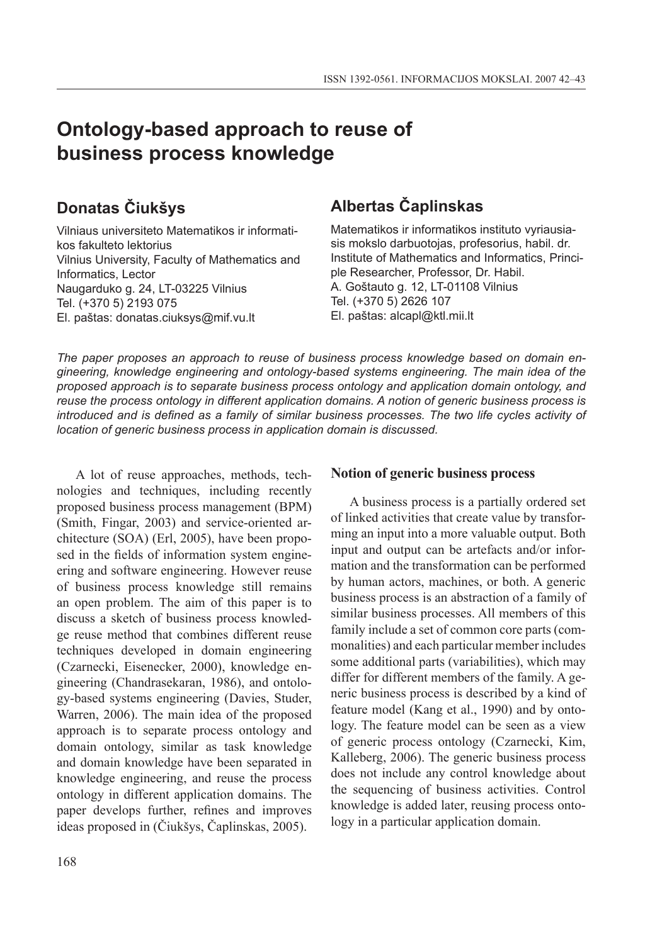# **Ontology-based approach to reuse of business process knowledge**

# **Donatas Čiukšys**

Vilniaus universiteto Matematikos ir informatikos fakulteto lektorius Vilnius University, Faculty of Mathematics and Informatics, Lector Naugarduko g. 24, LT-03225 Vilnius Tel. (+370 5) 2193 075 El. paštas: donatas.ciuksys@mif.vu.lt

## **Albertas Čaplinskas**

Matematikos ir informatikos instituto vyriausiasis mokslo darbuotojas, profesorius, habil. dr. Institute of Mathematics and Informatics, Principle Researcher, Professor, Dr. Habil. A. Goštauto g. 12, LT-01108 Vilnius Tel. (+370 5) 2626 107 El. paštas: alcapl@ktl.mii.lt

*The paper proposes an approach to reuse of business process knowledge based on domain engineering, knowledge engineering and ontology-based systems engineering. The main idea of the proposed approach is to separate business process ontology and application domain ontology, and reuse the process ontology in different application domains. A notion of generic business process is introduced and is defined as a family of similar business processes. The two life cycles activity of location of generic business process in application domain is discussed.*

A lot of reuse approaches, methods, technologies and techniques, including recently proposed business process management (BPM) (Smith, Fingar, 2003) and service-oriented architecture (SOA) (Erl, 2005), have been proposed in the fields of information system engineering and software engineering. However reuse of business process knowledge still remains an open problem. The aim of this paper is to discuss a sketch of business process knowledge reuse method that combines different reuse techniques developed in domain engineering (Czarnecki, Eisenecker, 2000), knowledge engineering (Chandrasekaran, 1986), and ontology-based systems engineering (Davies, Studer, Warren, 2006). The main idea of the proposed approach is to separate process ontology and domain ontology, similar as task knowledge and domain knowledge have been separated in knowledge engineering, and reuse the process ontology in different application domains. The paper develops further, refines and improves ideas proposed in (Čiukšys, Čaplinskas, 2005).

#### **Notion of generic business process**

A business process is a partially ordered set of linked activities that create value by transforming an input into a more valuable output. Both input and output can be artefacts and/or information and the transformation can be performed by human actors, machines, or both. A generic business process is an abstraction of a family of similar business processes. All members of this family include a set of common core parts (commonalities) and each particular member includes some additional parts (variabilities), which may differ for different members of the family. A generic business process is described by a kind of feature model (Kang et al., 1990) and by ontology. The feature model can be seen as a view of generic process ontology (Czarnecki, Kim, Kalleberg, 2006). The generic business process does not include any control knowledge about the sequencing of business activities. Control knowledge is added later, reusing process ontology in a particular application domain.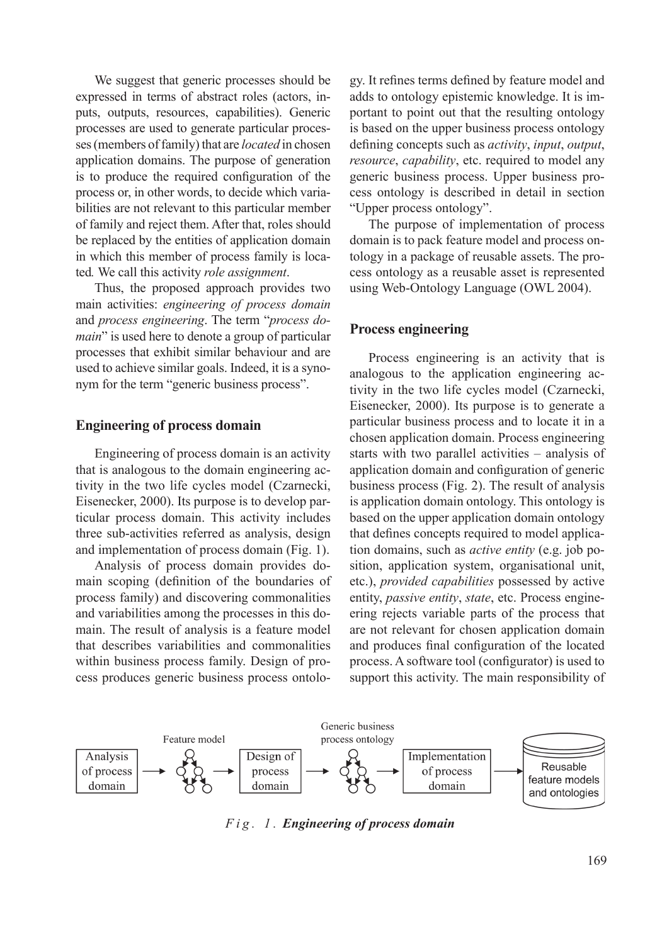We suggest that generic processes should be expressed in terms of abstract roles (actors, inputs, outputs, resources, capabilities). Generic processes are used to generate particular processes (members of family) that are *located* in chosen application domains. The purpose of generation is to produce the required configuration of the process or, in other words, to decide which variabilities are not relevant to this particular member of family and reject them. After that, roles should be replaced by the entities of application domain in which this member of process family is located*.* We call this activity *role assignment*.

Thus, the proposed approach provides two main activities: *engineering of process domain* and *process engineering*. The term "*process domain*" is used here to denote a group of particular processes that exhibit similar behaviour and are used to achieve similar goals. Indeed, it is a synonym for the term "generic business process".

#### **Engineering of process domain**

Engineering of process domain is an activity that is analogous to the domain engineering activity in the two life cycles model (Czarnecki, Eisenecker, 2000). Its purpose is to develop particular process domain. This activity includes three sub-activities referred as analysis, design and implementation of process domain (Fig. 1).

Analysis of process domain provides domain scoping (definition of the boundaries of process family) and discovering commonalities and variabilities among the processes in this domain. The result of analysis is a feature model that describes variabilities and commonalities within business process family. Design of process produces generic business process ontolo-

gy. It refines terms defined by feature model and adds to ontology epistemic knowledge. It is important to point out that the resulting ontology is based on the upper business process ontology defining concepts such as *activity*, *input*, *output*, *resource*, *capability*, etc. required to model any generic business process. Upper business process ontology is described in detail in section "Upper process ontology".

The purpose of implementation of process domain is to pack feature model and process ontology in a package of reusable assets. The process ontology as a reusable asset is represented using Web-Ontology Language (OWL 2004).

#### **Process engineering**

Process engineering is an activity that is analogous to the application engineering activity in the two life cycles model (Czarnecki, Eisenecker, 2000). Its purpose is to generate a particular business process and to locate it in a chosen application domain. Process engineering starts with two parallel activities – analysis of application domain and configuration of generic business process (Fig. 2). The result of analysis is application domain ontology. This ontology is based on the upper application domain ontology that defines concepts required to model application domains, such as *active entity* (e.g. job position, application system, organisational unit, etc.), *provided capabilities* possessed by active entity, *passive entity*, *state*, etc. Process engineering rejects variable parts of the process that are not relevant for chosen application domain and produces final configuration of the located process. A software tool (configurator) is used to support this activity. The main responsibility of



*F i g . 1 . Engineering of process domain*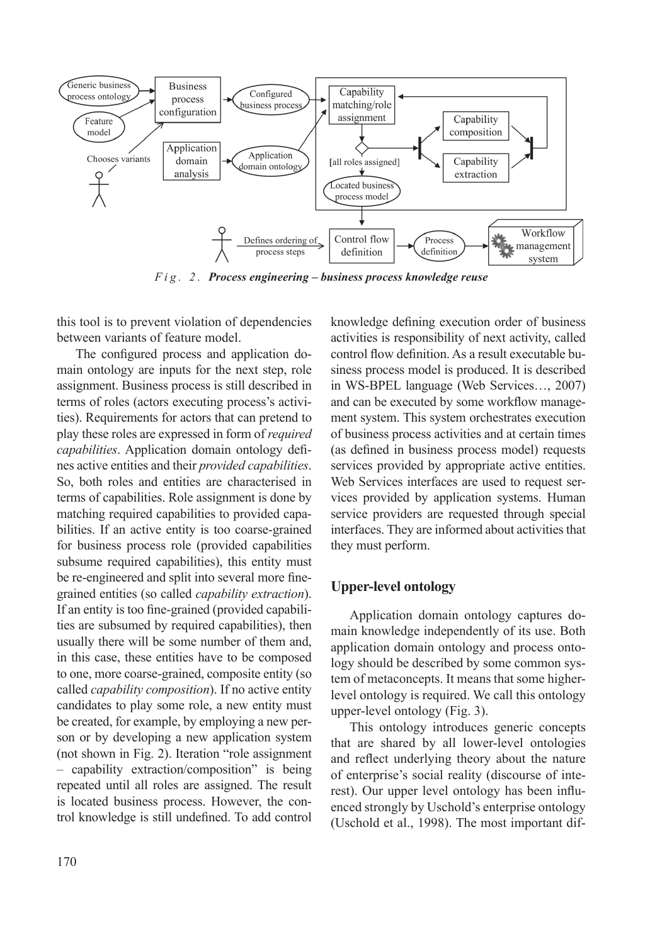

*F i g . 2 . Process engineering – business process knowledge reuse*

this tool is to prevent violation of dependencies between variants of feature model.

The configured process and application domain ontology are inputs for the next step, role assignment. Business process is still described in terms of roles (actors executing process's activities). Requirements for actors that can pretend to play these roles are expressed in form of *required capabilities*. Application domain ontology defines active entities and their *provided capabilities*. So, both roles and entities are characterised in terms of capabilities. Role assignment is done by matching required capabilities to provided capabilities. If an active entity is too coarse-grained for business process role (provided capabilities subsume required capabilities), this entity must be re-engineered and split into several more finegrained entities (so called *capability extraction*). If an entity is too fine-grained (provided capabilities are subsumed by required capabilities), then usually there will be some number of them and, in this case, these entities have to be composed to one, more coarse-grained, composite entity (so called *capability composition*). If no active entity candidates to play some role, a new entity must be created, for example, by employing a new person or by developing a new application system (not shown in Fig. 2). Iteration "role assignment – capability extraction/composition" is being repeated until all roles are assigned. The result is located business process. However, the control knowledge is still undefined. To add control knowledge defining execution order of business activities is responsibility of next activity, called control flow definition. As a result executable business process model is produced. It is described in WS‑BPEL language (Web Services…, 2007) and can be executed by some workflow management system. This system orchestrates execution of business process activities and at certain times (as defined in business process model) requests services provided by appropriate active entities. Web Services interfaces are used to request services provided by application systems. Human service providers are requested through special interfaces. They are informed about activities that they must perform.

### **Upper-level ontology**

Application domain ontology captures domain knowledge independently of its use. Both application domain ontology and process ontology should be described by some common system of metaconcepts. It means that some higherlevel ontology is required. We call this ontology upper-level ontology (Fig. 3).

This ontology introduces generic concepts that are shared by all lower-level ontologies and reflect underlying theory about the nature of enterprise's social reality (discourse of interest). Our upper level ontology has been influenced strongly by Uschold's enterprise ontology (Uschold et al., 1998). The most important dif-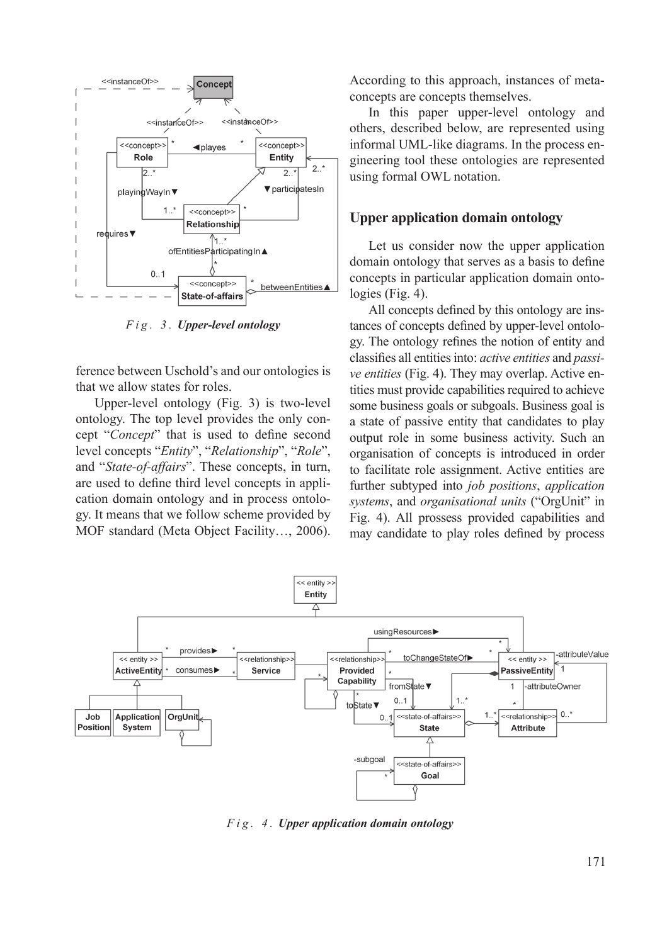

*F i g . 3 . Upper-level ontology*

ference between Uschold's and our ontologies is that we allow states for roles.

Upper-level ontology (Fig. 3) is two-level ontology. The top level provides the only concept "*Concept*" that is used to define second level concepts "*Entity*", "*Relationship*", "*Role*", and "*State-of-affairs*". These concepts, in turn, are used to define third level concepts in application domain ontology and in process ontology. It means that we follow scheme provided by MOF standard (Meta Object Facility…, 2006).

According to this approach, instances of metaconcepts are concepts themselves.

In this paper upper-level ontology and others, described below, are represented using informal UML-like diagrams. In the process engineering tool these ontologies are represented using formal OWL notation.

#### **Upper application domain ontology**

Let us consider now the upper application domain ontology that serves as a basis to define concepts in particular application domain ontologies (Fig. 4).

All concepts defined by this ontology are instances of concepts defined by upper-level ontology. The ontology refines the notion of entity and classifies all entities into: *active entities* and *passive entities* (Fig. 4). They may overlap. Active entities must provide capabilities required to achieve some business goals or subgoals. Business goal is a state of passive entity that candidates to play output role in some business activity. Such an organisation of concepts is introduced in order to facilitate role assignment. Active entities are further subtyped into *job positions*, *application systems*, and *organisational units* ("OrgUnit" in Fig. 4). All prossess provided capabilities and may candidate to play roles defined by process



*F i g . 4 . Upper application domain ontology*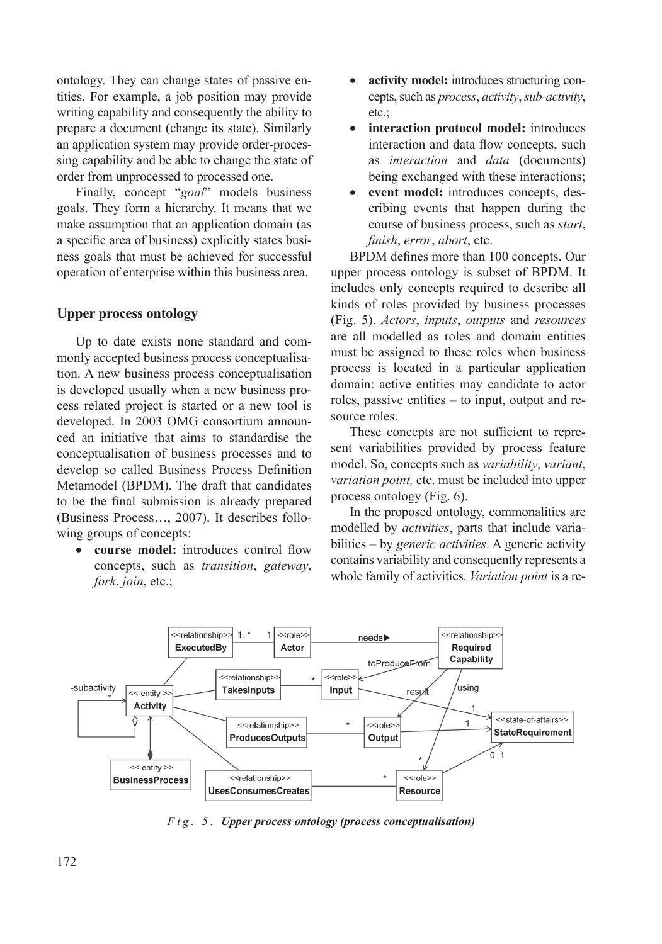ontology. They can change states of passive entities. For example, a job position may provide writing capability and consequently the ability to prepare a document (change its state). Similarly an application system may provide order-processing capability and be able to change the state of order from unprocessed to processed one.

Finally, concept "*goal*" models business goals. They form a hierarchy. It means that we make assumption that an application domain (as a specific area of business) explicitly states business goals that must be achieved for successful operation of enterprise within this business area.

### **Upper process ontology**

Up to date exists none standard and commonly accepted business process conceptualisation. A new business process conceptualisation is developed usually when a new business process related project is started or a new tool is developed. In 2003 OMG consortium announced an initiative that aims to standardise the conceptualisation of business processes and to develop so called Business Process Definition Metamodel (BPDM). The draft that candidates to be the final submission is already prepared (Business Process…, 2007). It describes following groups of concepts:

• **course model:** introduces control flow concepts, such as *transition*, *gateway*, *fork*, *join*, etc.;

- **activity model:** introduces structuring concepts, such as *process*, *activity*, *sub-activity*, etc.;
- **interaction protocol model:** introduces interaction and data flow concepts, such as *interaction* and *data* (documents) being exchanged with these interactions;
- event model: introduces concepts, describing events that happen during the course of business process, such as *start*, *finish*, *error*, *abort*, etc.

BPDM defines more than 100 concepts. Our upper process ontology is subset of BPDM. It includes only concepts required to describe all kinds of roles provided by business processes (Fig. 5). *Actors*, *inputs*, *outputs* and *resources* are all modelled as roles and domain entities must be assigned to these roles when business process is located in a particular application domain: active entities may candidate to actor roles, passive entities – to input, output and resource roles.

These concepts are not sufficient to represent variabilities provided by process feature model. So, concepts such as *variability*, *variant*, *variation point,* etc. must be included into upper process ontology (Fig. 6).

In the proposed ontology, commonalities are modelled by *activities*, parts that include variabilities – by *generic activities*. A generic activity contains variability and consequently represents a whole family of activities. *Variation point* is a re-



*F i g . 5 . Upper process ontology (process conceptualisation)*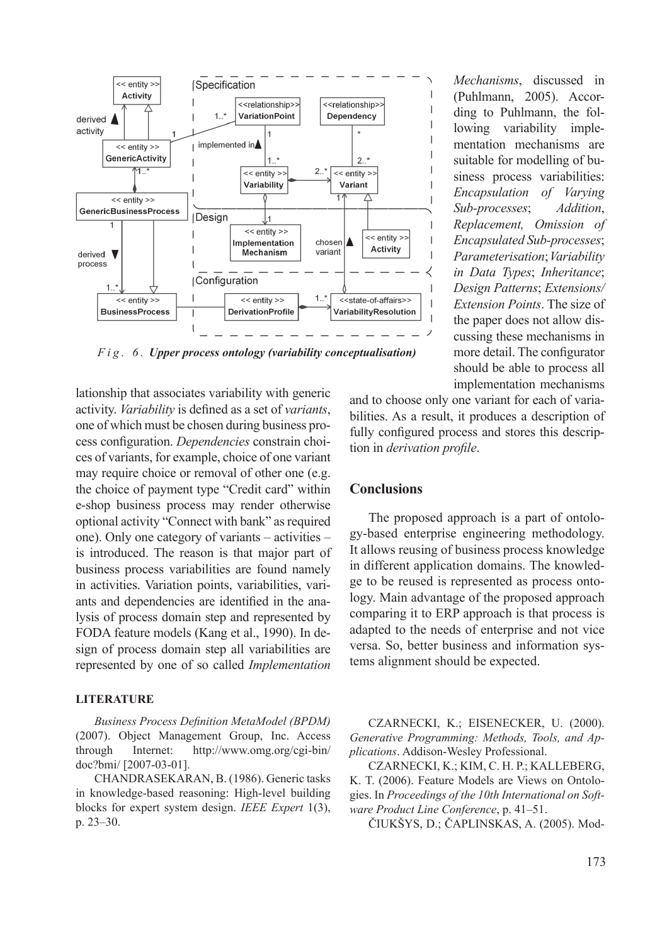

*F i g . 6 . Upper process ontology (variability conceptualisation)*

lationship that associates variability with generic activity. *Variability* is defined as a set of *variants*, one of which must be chosen during business process configuration. *Dependencies* constrain choices of variants, for example, choice of one variant may require choice or removal of other one (e.g. the choice of payment type "Credit card" within e-shop business process may render otherwise optional activity "Connect with bank" as required one). Only one category of variants – activities – is introduced. The reason is that major part of business process variabilities are found namely in activities. Variation points, variabilities, variants and dependencies are identified in the analysis of process domain step and represented by FODA feature models (Kang et al., 1990). In design of process domain step all variabilities are represented by one of so called *Implementation* 

#### **LITERATURE**

*Business Process Definition MetaModel (BPDM)* (2007). Object Management Group, Inc. Access through Internet: http://www.omg.org/cgi-bin/ doc?bmi/ [2007-03-01].

CHANDRASEKARAN, B. (1986). Generic tasks in knowledge-based reasoning: High-level building blocks for expert system design. *IEEE Expert* 1(3), p. 23–30.

*Mechanisms*, discussed in (Puhlmann, 2005). According to Puhlmann, the following variability implementation mechanisms are suitable for modelling of business process variabilities: *Encapsulation of Varying Sub-processes*; *Addition*, *Replacement, Omission of Encapsulated Sub-processes*; *Parameterisation*; *Variability in Data Types*; *Inheritance*; *Design Patterns*; *Extensions/ Extension Points*. The size of the paper does not allow discussing these mechanisms in more detail. The configurator should be able to process all implementation mechanisms

and to choose only one variant for each of variabilities. As a result, it produces a description of fully configured process and stores this description in *derivation profile*.

#### **Conclusions**

The proposed approach is a part of ontology-based enterprise engineering methodology. It allows reusing of business process knowledge in different application domains. The knowledge to be reused is represented as process ontology. Main advantage of the proposed approach comparing it to ERP approach is that process is adapted to the needs of enterprise and not vice versa. So, better business and information systems alignment should be expected.

CZARNECKI, K.; EISENECKER, U. (2000). *Generative Programming: Methods, Tools, and Applications*. Addison-Wesley Professional.

CZARNECKI, K.; KIM, C. H. P.; KALLEBERG, K. T. (2006). Feature Models are Views on Ontologies. In *Proceedings of the 10th International on Software Product Line Conference*, p. 41–51.

ČIUKŠYS, D.; ČAPLINSKAS, A. (2005). Mod-